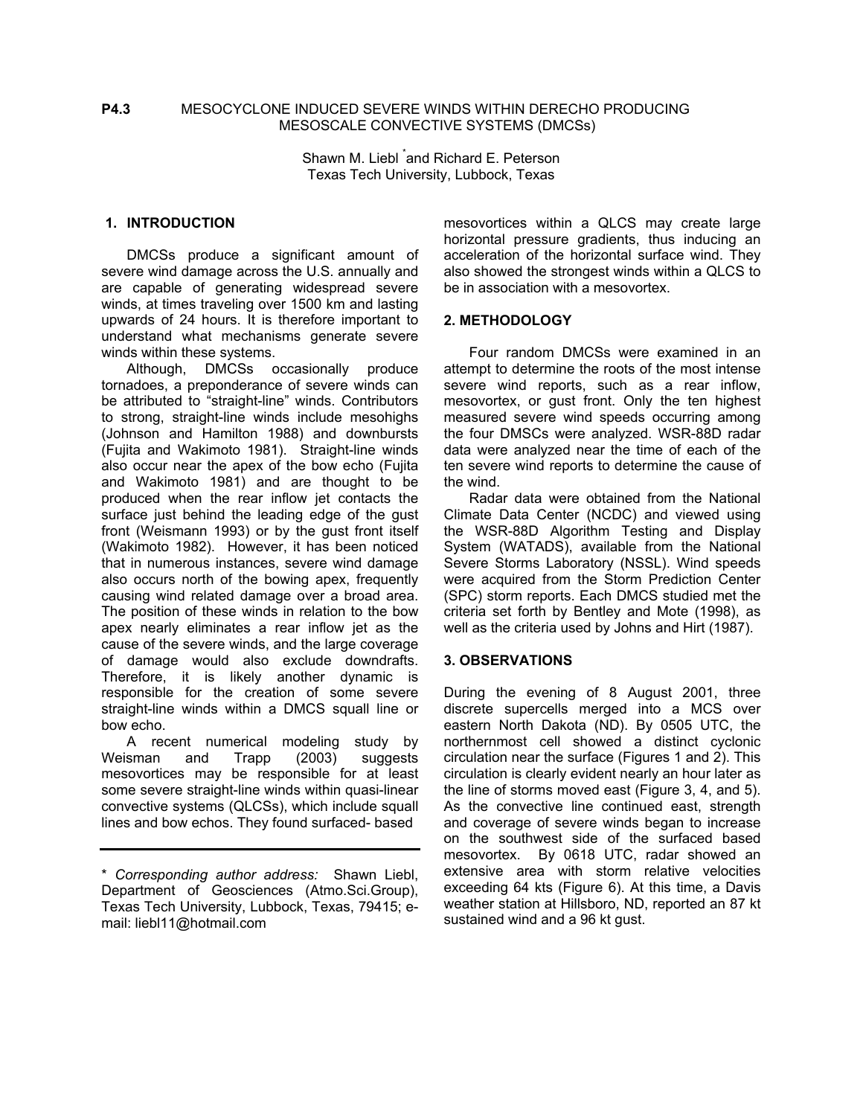### **P4.3** MESOCYCLONE INDUCED SEVERE WINDS WITHIN DERECHO PRODUCING MESOSCALE CONVECTIVE SYSTEMS (DMCSs)

Shawn M. Liebl and Richard E. Peterson Texas Tech University, Lubbock, Texas

### **1. INTRODUCTION**

 DMCSs produce a significant amount of severe wind damage across the U.S. annually and are capable of generating widespread severe winds, at times traveling over 1500 km and lasting upwards of 24 hours. It is therefore important to understand what mechanisms generate severe winds within these systems.

 Although, DMCSs occasionally produce tornadoes, a preponderance of severe winds can be attributed to "straight-line" winds. Contributors to strong, straight-line winds include mesohighs (Johnson and Hamilton 1988) and downbursts (Fujita and Wakimoto 1981). Straight-line winds also occur near the apex of the bow echo (Fujita and Wakimoto 1981) and are thought to be produced when the rear inflow jet contacts the surface just behind the leading edge of the gust front (Weismann 1993) or by the gust front itself (Wakimoto 1982). However, it has been noticed that in numerous instances, severe wind damage also occurs north of the bowing apex, frequently causing wind related damage over a broad area. The position of these winds in relation to the bow apex nearly eliminates a rear inflow jet as the cause of the severe winds, and the large coverage of damage would also exclude downdrafts. Therefore, it is likely another dynamic is responsible for the creation of some severe straight-line winds within a DMCS squall line or bow echo.

 A recent numerical modeling study by Weisman and Trapp (2003) suggests mesovortices may be responsible for at least some severe straight-line winds within quasi-linear convective systems (QLCSs), which include squall lines and bow echos. They found surfaced- based

mesovortices within a QLCS may create large horizontal pressure gradients, thus inducing an acceleration of the horizontal surface wind. They also showed the strongest winds within a QLCS to be in association with a mesovortex.

#### **2. METHODOLOGY**

 Four random DMCSs were examined in an attempt to determine the roots of the most intense severe wind reports, such as a rear inflow, mesovortex, or gust front. Only the ten highest measured severe wind speeds occurring among the four DMSCs were analyzed. WSR-88D radar data were analyzed near the time of each of the ten severe wind reports to determine the cause of the wind.

 Radar data were obtained from the National Climate Data Center (NCDC) and viewed using the WSR-88D Algorithm Testing and Display System (WATADS), available from the National Severe Storms Laboratory (NSSL). Wind speeds were acquired from the Storm Prediction Center (SPC) storm reports. Each DMCS studied met the criteria set forth by Bentley and Mote (1998), as well as the criteria used by Johns and Hirt (1987).

### **3. OBSERVATIONS**

During the evening of 8 August 2001, three discrete supercells merged into a MCS over eastern North Dakota (ND). By 0505 UTC, the northernmost cell showed a distinct cyclonic circulation near the surface (Figures 1 and 2). This circulation is clearly evident nearly an hour later as the line of storms moved east (Figure 3, 4, and 5). As the convective line continued east, strength and coverage of severe winds began to increase on the southwest side of the surfaced based mesovortex. By 0618 UTC, radar showed an extensive area with storm relative velocities exceeding 64 kts (Figure 6). At this time, a Davis weather station at Hillsboro, ND, reported an 87 kt sustained wind and a 96 kt gust.

<sup>\*</sup> *Corresponding author address:* Shawn Liebl, Department of Geosciences (Atmo.Sci.Group), Texas Tech University, Lubbock, Texas, 79415; email: liebl11@hotmail.com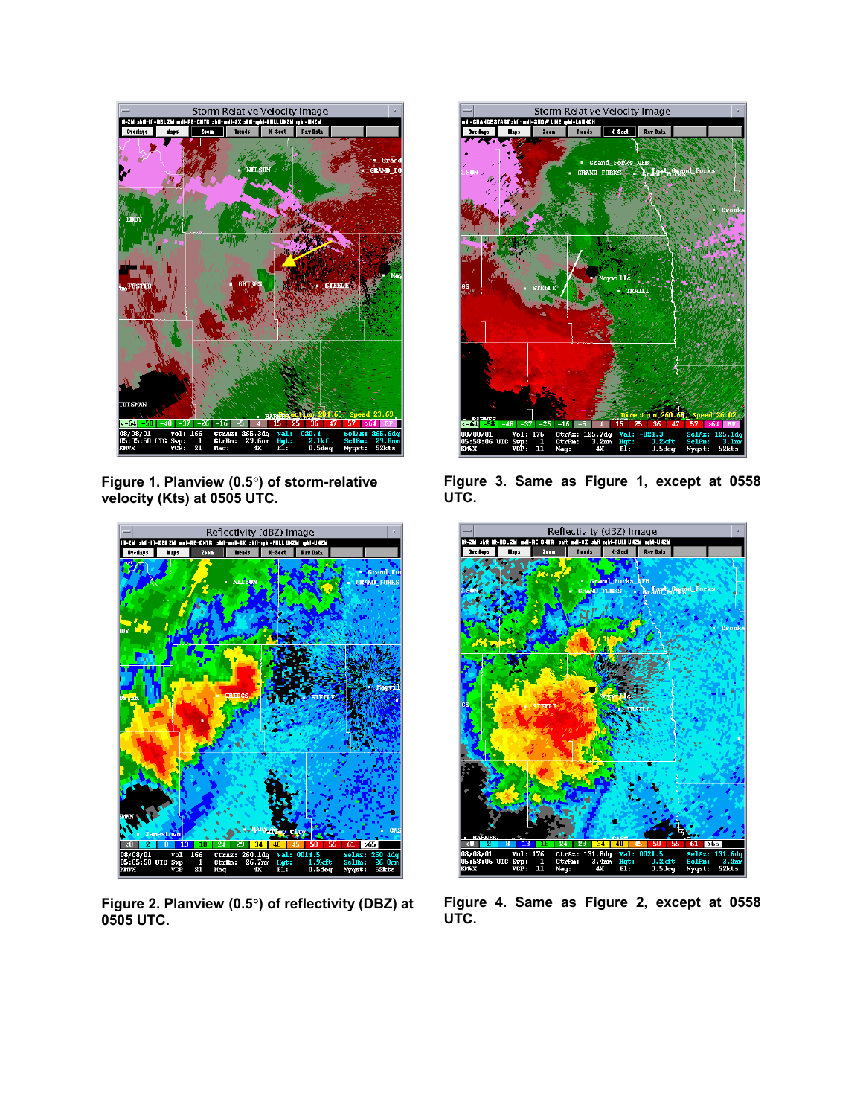

**Figure 1. Planview (0.5**°**) of storm-relative velocity (Kts) at 0505 UTC.** 



**Figure 2. Planview (0.5**°**) of reflectivity (DBZ) at 0505 UTC.** 



**Figure 3. Same as Figure 1, except at 0558 UTC.**



**Figure 4. Same as Figure 2, except at 0558 UTC.**